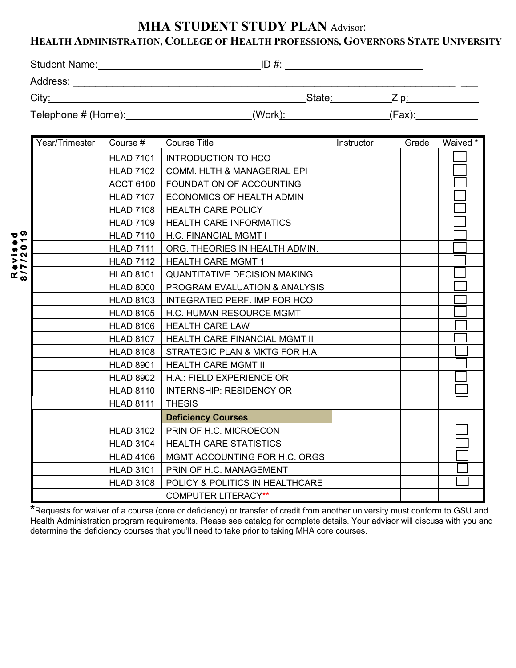## **MHA STUDENT STUDY PLAN Advisor:**

## **HEALTH ADMINISTRATION, COLLEGE OF HEALTH PROFESSIONS, GOVERNORS STATE UNIVERSITY**

| <b>Student Name:</b>                | ID#     |        |  |
|-------------------------------------|---------|--------|--|
| Address:                            |         |        |  |
| City:                               | State:  | Zip:   |  |
| Telephone # (Home): _______________ | (Work): | (Fax): |  |

|                         | Year/Trimester | Course #         | <b>Course Title</b>                    | Instructor | Grade | Waived * |
|-------------------------|----------------|------------------|----------------------------------------|------------|-------|----------|
| უ თ<br>$\bullet$ $\tau$ |                | <b>HLAD 7101</b> | <b>INTRODUCTION TO HCO</b>             |            |       |          |
|                         |                | <b>HLAD 7102</b> | <b>COMM. HLTH &amp; MANAGERIAL EPI</b> |            |       |          |
|                         |                | <b>ACCT 6100</b> | FOUNDATION OF ACCOUNTING               |            |       |          |
|                         |                | <b>HLAD 7107</b> | ECONOMICS OF HEALTH ADMIN              |            |       |          |
|                         |                | <b>HLAD 7108</b> | <b>HEALTH CARE POLICY</b>              |            |       |          |
|                         |                | <b>HLAD 7109</b> | <b>HEALTH CARE INFORMATICS</b>         |            |       |          |
|                         |                | <b>HLAD 7110</b> | H.C. FINANCIAL MGMT I                  |            |       |          |
| $\frac{8}{2}$           |                | <b>HLAD 7111</b> | ORG. THEORIES IN HEALTH ADMIN.         |            |       |          |
| 77                      |                | <b>HLAD 7112</b> | <b>HEALTH CARE MGMT 1</b>              |            |       |          |
| $\mathbf{K} \geq 0$     |                | <b>HLAD 8101</b> | <b>QUANTITATIVE DECISION MAKING</b>    |            |       |          |
|                         |                | <b>HLAD 8000</b> | PROGRAM EVALUATION & ANALYSIS          |            |       |          |
|                         |                | <b>HLAD 8103</b> | <b>INTEGRATED PERF. IMP FOR HCO</b>    |            |       |          |
|                         |                | <b>HLAD 8105</b> | H.C. HUMAN RESOURCE MGMT               |            |       |          |
|                         |                | <b>HLAD 8106</b> | <b>HEALTH CARE LAW</b>                 |            |       |          |
|                         |                | <b>HLAD 8107</b> | <b>HEALTH CARE FINANCIAL MGMT II</b>   |            |       |          |
|                         |                | <b>HLAD 8108</b> | STRATEGIC PLAN & MKTG FOR H.A.         |            |       |          |
|                         |                | <b>HLAD 8901</b> | <b>HEALTH CARE MGMT II</b>             |            |       |          |
|                         |                | <b>HLAD 8902</b> | H.A.: FIELD EXPERIENCE OR              |            |       |          |
|                         |                | <b>HLAD 8110</b> | <b>INTERNSHIP: RESIDENCY OR</b>        |            |       |          |
|                         |                | <b>HLAD 8111</b> | <b>THESIS</b>                          |            |       |          |
|                         |                |                  | <b>Deficiency Courses</b>              |            |       |          |
|                         |                | <b>HLAD 3102</b> | PRIN OF H.C. MICROECON                 |            |       |          |
|                         |                | <b>HLAD 3104</b> | <b>HEALTH CARE STATISTICS</b>          |            |       |          |
|                         |                | <b>HLAD 4106</b> | MGMT ACCOUNTING FOR H.C. ORGS          |            |       |          |
|                         |                | <b>HLAD 3101</b> | PRIN OF H.C. MANAGEMENT                |            |       |          |
|                         |                | <b>HLAD 3108</b> | POLICY & POLITICS IN HEALTHCARE        |            |       |          |
|                         |                |                  | <b>COMPUTER LITERACY**</b>             |            |       |          |

**\***Requests for waiver of a course (core or deficiency) or transfer of credit from another university must conform to GSU and Health Administration program requirements. Please see catalog for complete details. Your advisor will discuss with you and determine the deficiency courses that you'll need to take prior to taking MHA core courses.